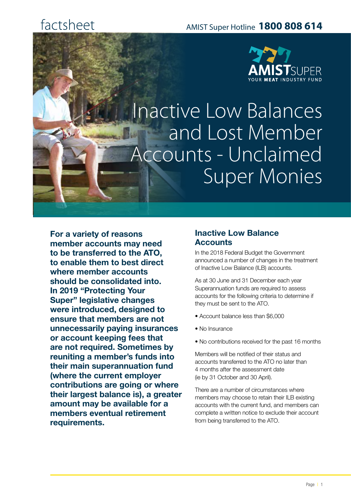# factsheet



Inactive Low Balances and Lost Member Accounts - Unclaimed Super Monies

**For a variety of reasons member accounts may need to be transferred to the ATO, to enable them to best direct where member accounts should be consolidated into. In 2019 "Protecting Your Super" legislative changes were introduced, designed to ensure that members are not unnecessarily paying insurances or account keeping fees that are not required. Sometimes by reuniting a member's funds into their main superannuation fund (where the current employer contributions are going or where their largest balance is), a greater amount may be available for a members eventual retirement requirements.** 

## **Inactive Low Balance Accounts**

In the 2018 Federal Budget the Government announced a number of changes in the treatment of Inactive Low Balance (ILB) accounts.

As at 30 June and 31 December each year Superannuation funds are required to assess accounts for the following criteria to determine if they must be sent to the ATO.

- Account balance less than \$6,000
- No Insurance
- No contributions received for the past 16 months

Members will be notified of their status and accounts transferred to the ATO no later than 4 months after the assessment date (ie by 31 October and 30 April).

There are a number of circumstances where members may choose to retain their ILB existing accounts with the current fund, and members can complete a written notice to exclude their account from being transferred to the ATO.